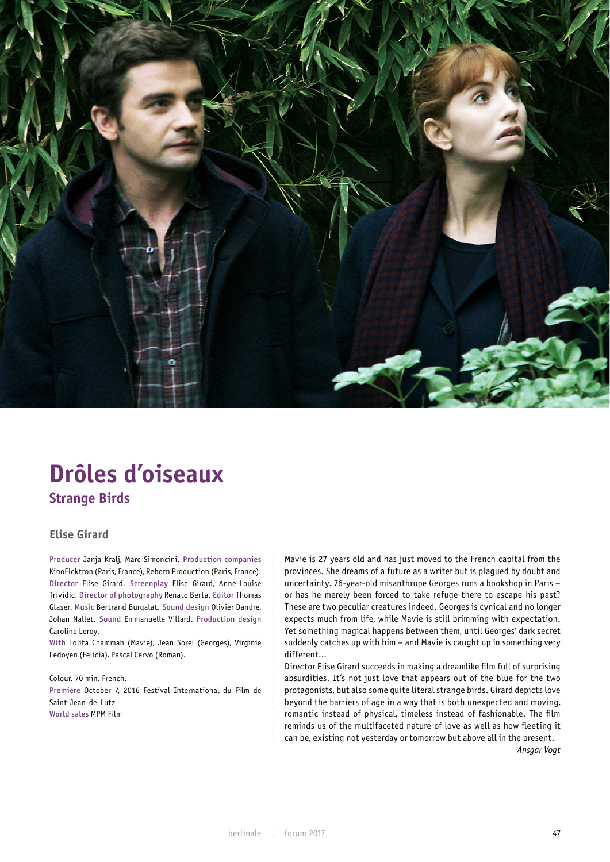

# **Drôles d'oiseaux Strange Birds**

# **Elise Girard**

Producer Janja Kralj, Marc Simoncini. Production companies KinoElektron (Paris, France), Reborn Production (Paris, France). Director Elise Girard. Screenplay Elise Girard, Anne-Louise Trividic. Director of photography Renato Berta. Editor Thomas Glaser. Music Bertrand Burgalat. Sound design Olivier Dandre, Johan Nallet. Sound Emmanuelle Villard. Production design Caroline Leroy.

With Lolita Chammah (Mavie), Jean Sorel (Georges), Virginie Ledoyen (Felicia), Pascal Cervo (Roman).

Colour. 70 min. French. Premiere October 7, 2016 Festival International du Film de Saint-Jean-de-Lutz World sales MPM Film

Mavie is 27 years old and has just moved to the French capital from the provinces. She dreams of a future as a writer but is plagued by doubt and uncertainty. 76-year-old misanthrope Georges runs a bookshop in Paris – or has he merely been forced to take refuge there to escape his past? These are two peculiar creatures indeed. Georges is cynical and no longer expects much from life, while Mavie is still brimming with expectation. Yet something magical happens between them, until Georges' dark secret suddenly catches up with him – and Mavie is caught up in something very different...

Director Elise Girard succeeds in making a dreamlike film full of surprising absurdities. It's not just love that appears out of the blue for the two protagonists, but also some quite literal strange birds. Girard depicts love beyond the barriers of age in a way that is both unexpected and moving, romantic instead of physical, timeless instead of fashionable. The film reminds us of the multifaceted nature of love as well as how fleeting it can be, existing not yesterday or tomorrow but above all in the present.

*Ansgar Vogt*